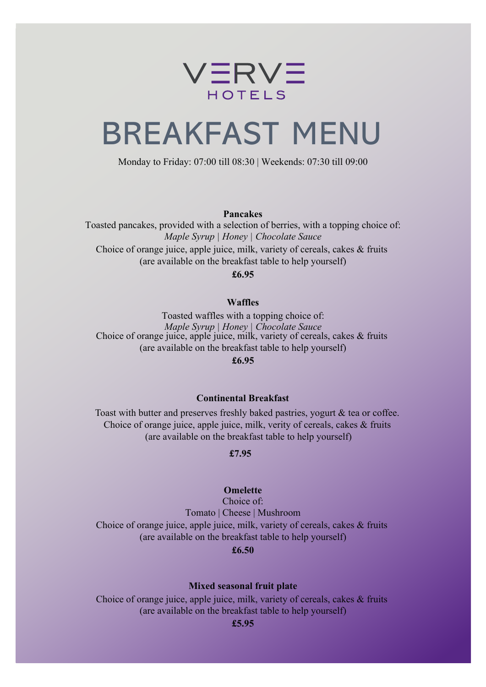

# BREAKFAST MENU

Monday to Friday: 07:00 till 08:30 | Weekends: 07:30 till 09:00

**Pancakes**

Toasted pancakes, provided with a selection of berries, with a topping choice of: *Maple Syrup | Honey | Chocolate Sauce* Choice of orange juice, apple juice, milk, variety of cereals, cakes & fruits (are available on the breakfast table to help yourself)

**£6.95**

### **Waffles**

Choice of orange juice, apple juice, milk, variety of cereals, cakes & fruits (are available on the breakfast table to help yourself) Toasted waffles with a topping choice of: *Maple Syrup | Honey | Chocolate Sauce* **£6.95**

#### **Continental Breakfast**

Toast with butter and preserves freshly baked pastries, yogurt & tea or coffee. Choice of orange juice, apple juice, milk, verity of cereals, cakes & fruits (are available on the breakfast table to help yourself)

#### **£7.95**

#### **Omelette**

Choice of orange juice, apple juice, milk, variety of cereals, cakes & fruits (are available on the breakfast table to help yourself) Choice of: Tomato | Cheese | Mushroom

## **£6.50**

## **Mixed seasonal fruit plate**

Choice of orange juice, apple juice, milk, variety of cereals, cakes & fruits (are available on the breakfast table to help yourself)

**£5.95**